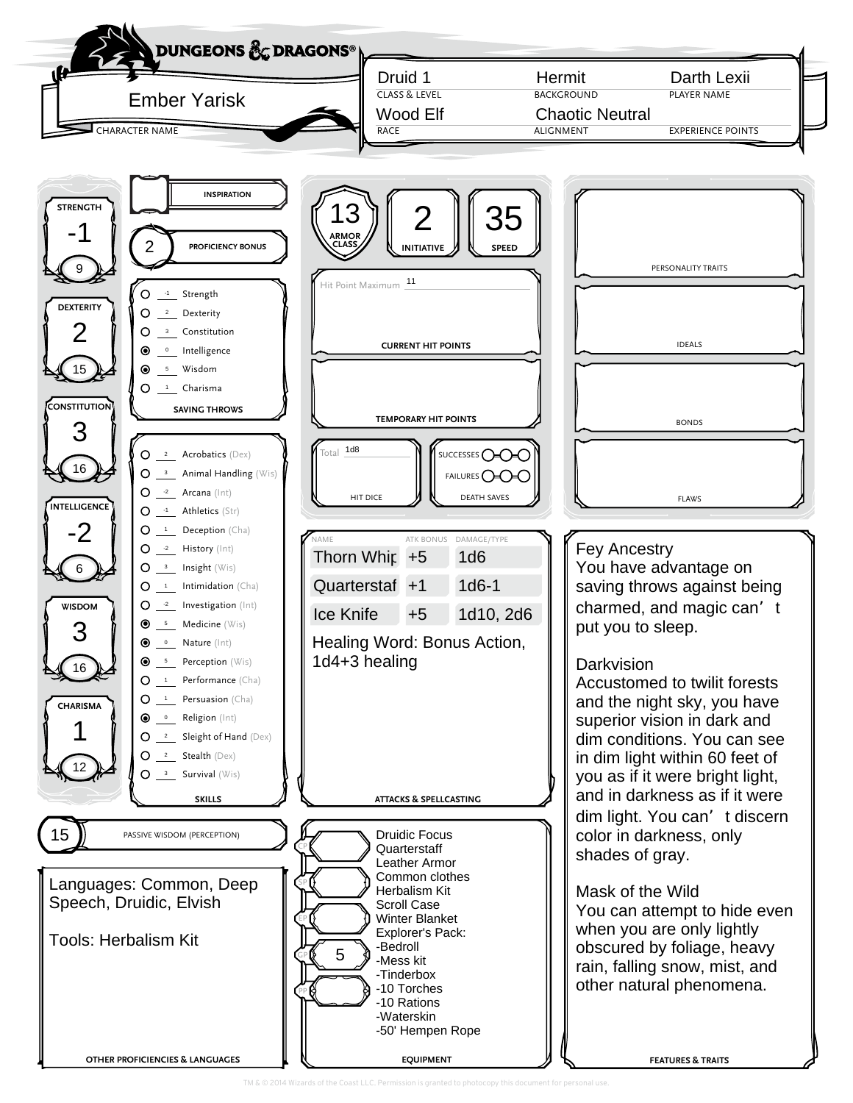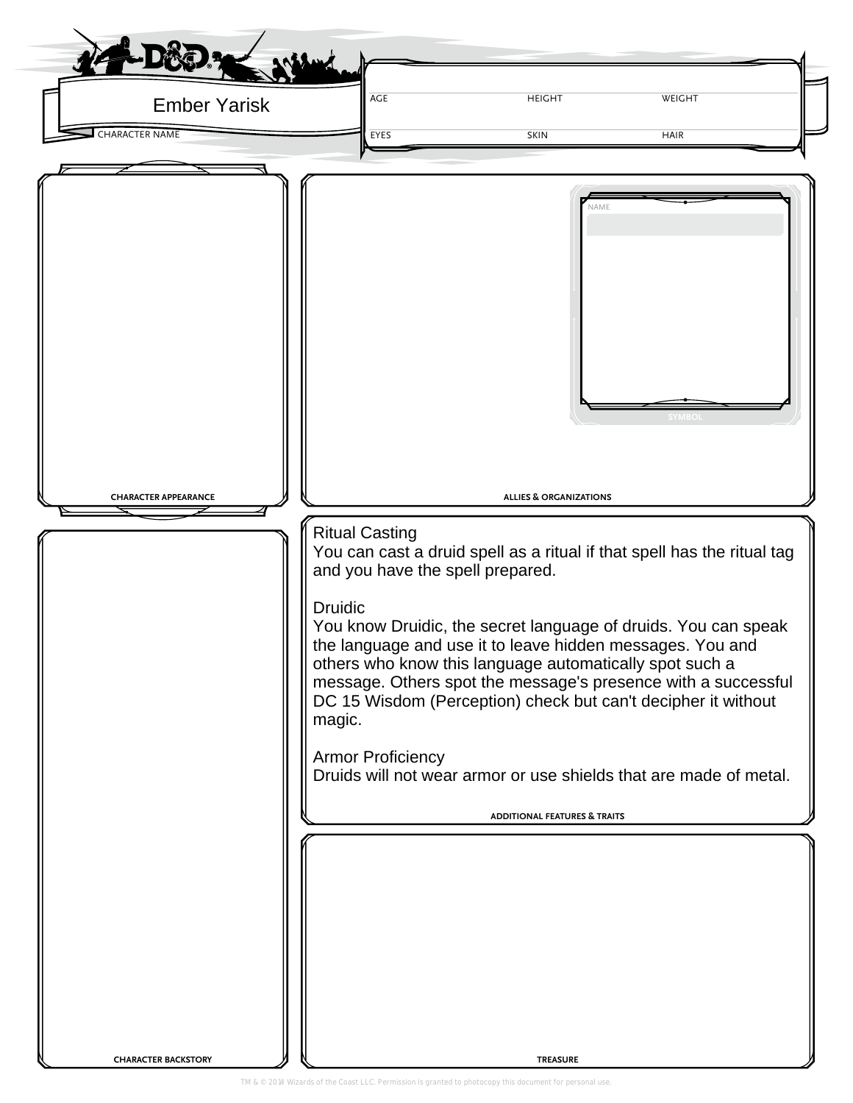| AGE<br><b>Ember Yarisk</b>                                                                                                                                                                                                                                                                                                                                                                                                                                                                                                                                                                                                                                 | <b>HEIGHT</b>                                                                                           | WEIGHT      |
|------------------------------------------------------------------------------------------------------------------------------------------------------------------------------------------------------------------------------------------------------------------------------------------------------------------------------------------------------------------------------------------------------------------------------------------------------------------------------------------------------------------------------------------------------------------------------------------------------------------------------------------------------------|---------------------------------------------------------------------------------------------------------|-------------|
| <b>CHARACTER NAME</b><br>EYES                                                                                                                                                                                                                                                                                                                                                                                                                                                                                                                                                                                                                              | <b>SKIN</b>                                                                                             | <b>HAIR</b> |
| <b>CHARACTER APPEARANCE</b><br><b>Ritual Casting</b><br>You can cast a druid spell as a ritual if that spell has the ritual tag<br>and you have the spell prepared.<br><b>Druidic</b><br>You know Druidic, the secret language of druids. You can speak<br>the language and use it to leave hidden messages. You and<br>others who know this language automatically spot such a<br>message. Others spot the message's presence with a successful<br>DC 15 Wisdom (Perception) check but can't decipher it without<br>magic.<br><b>Armor Proficiency</b><br>Druids will not wear armor or use shields that are made of metal.<br><b>CHARACTER BACKSTORY</b> | NAME<br><b>ALLIES &amp; ORGANIZATIONS</b><br><b>ADDITIONAL FEATURES &amp; TRAITS</b><br><b>TREASURE</b> |             |